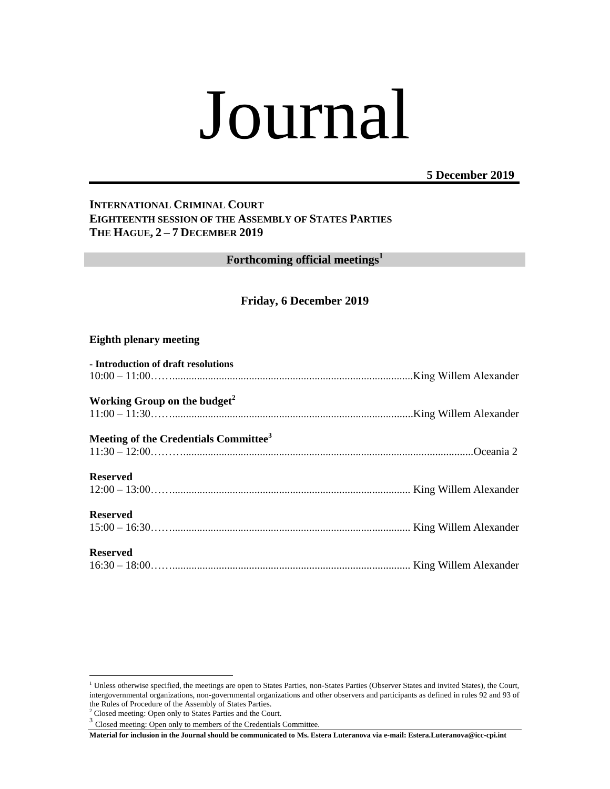# Journal

## **5 December 2019**

## **INTERNATIONAL CRIMINAL COURT EIGHTEENTH SESSION OF THE ASSEMBLY OF STATES PARTIES THE HAGUE, 2 – 7 DECEMBER 2019**

**Forthcoming official meetings<sup>1</sup>**

## **Friday, 6 December 2019**

### **Eighth plenary meeting**

| - Introduction of draft resolutions               |  |
|---------------------------------------------------|--|
|                                                   |  |
| Working Group on the budget <sup>2</sup>          |  |
|                                                   |  |
| Meeting of the Credentials Committee <sup>3</sup> |  |
|                                                   |  |
| <b>Reserved</b>                                   |  |
|                                                   |  |
| <b>Reserved</b>                                   |  |
|                                                   |  |
| <b>Reserved</b>                                   |  |
|                                                   |  |

 $\overline{a}$ 

<sup>&</sup>lt;sup>1</sup> Unless otherwise specified, the meetings are open to States Parties, non-States Parties (Observer States and invited States), the Court, intergovernmental organizations, non-governmental organizations and other observers and participants as defined in rules 92 and 93 of the Rules of Procedure of the Assembly of States Parties.

<sup>2</sup> Closed meeting: Open only to States Parties and the Court.

<sup>&</sup>lt;sup>3</sup> Closed meeting: Open only to members of the Credentials Committee.

**Material for inclusion in the Journal should be communicated to Ms. Estera Luteranova via e-mail: Estera.Luteranova@icc-cpi.int**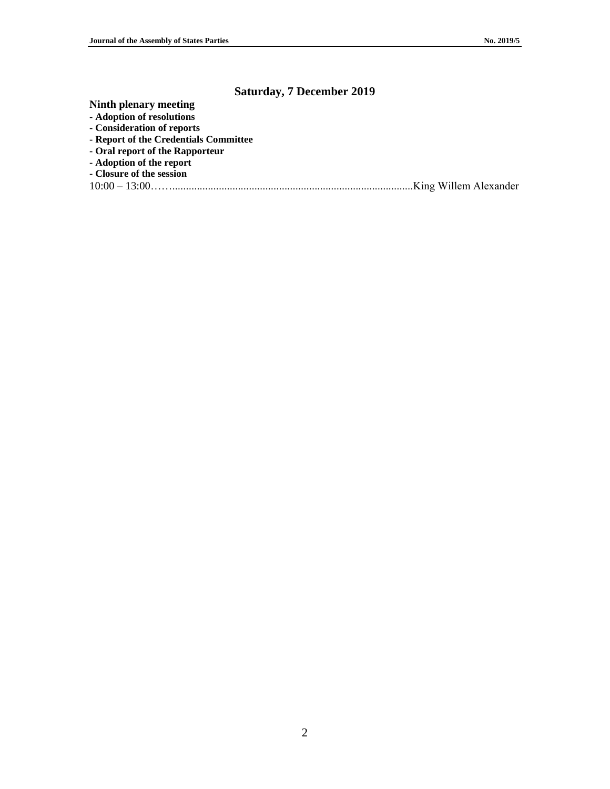# **Saturday, 7 December 2019**

**Ninth plenary meeting**

- **- Adoption of resolutions**
- **- Consideration of reports**
- **- Report of the Credentials Committee**
- **- Oral report of the Rapporteur**
- **- Adoption of the report**
- **- Closure of the session**
- 10:00 13:00……........................................................................................King Willem Alexander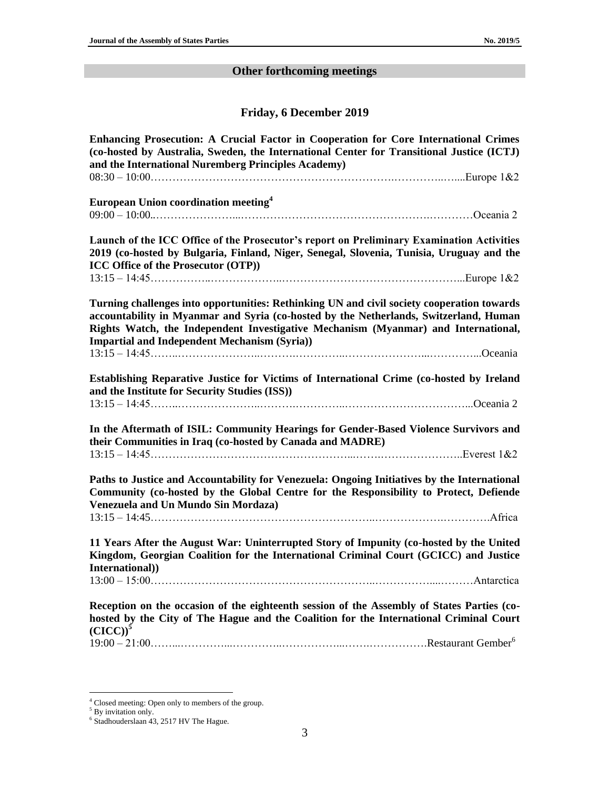# **Other forthcoming meetings**

# **Friday, 6 December 2019**

| Enhancing Prosecution: A Crucial Factor in Cooperation for Core International Crimes<br>(co-hosted by Australia, Sweden, the International Center for Transitional Justice (ICTJ)<br>and the International Nuremberg Principles Academy)                                                                                         |  |
|----------------------------------------------------------------------------------------------------------------------------------------------------------------------------------------------------------------------------------------------------------------------------------------------------------------------------------|--|
| European Union coordination meeting <sup>4</sup>                                                                                                                                                                                                                                                                                 |  |
| Launch of the ICC Office of the Prosecutor's report on Preliminary Examination Activities<br>2019 (co-hosted by Bulgaria, Finland, Niger, Senegal, Slovenia, Tunisia, Uruguay and the<br><b>ICC Office of the Prosecutor (OTP))</b>                                                                                              |  |
| Turning challenges into opportunities: Rethinking UN and civil society cooperation towards<br>accountability in Myanmar and Syria (co-hosted by the Netherlands, Switzerland, Human<br>Rights Watch, the Independent Investigative Mechanism (Myanmar) and International,<br><b>Impartial and Independent Mechanism (Syria))</b> |  |
| Establishing Reparative Justice for Victims of International Crime (co-hosted by Ireland<br>and the Institute for Security Studies (ISS))                                                                                                                                                                                        |  |
| In the Aftermath of ISIL: Community Hearings for Gender-Based Violence Survivors and<br>their Communities in Iraq (co-hosted by Canada and MADRE)                                                                                                                                                                                |  |
| Paths to Justice and Accountability for Venezuela: Ongoing Initiatives by the International<br>Community (co-hosted by the Global Centre for the Responsibility to Protect, Defiende<br><b>Venezuela and Un Mundo Sin Mordaza)</b>                                                                                               |  |
| 11 Years After the August War: Uninterrupted Story of Impunity (co-hosted by the United<br>Kingdom, Georgian Coalition for the International Criminal Court (GCICC) and Justice<br>International))                                                                                                                               |  |
| $13:00-15:00$ Antarctica<br>Reception on the occasion of the eighteenth session of the Assembly of States Parties (co-<br>hosted by the City of The Hague and the Coalition for the International Criminal Court<br>$(CICC))^5$                                                                                                  |  |
|                                                                                                                                                                                                                                                                                                                                  |  |

 $\overline{a}$ <sup>4</sup> Closed meeting: Open only to members of the group.

<sup>&</sup>lt;sup>5</sup> By invitation only.<br><sup>6</sup> Stadhouderslaan 43, 2517 HV The Hague.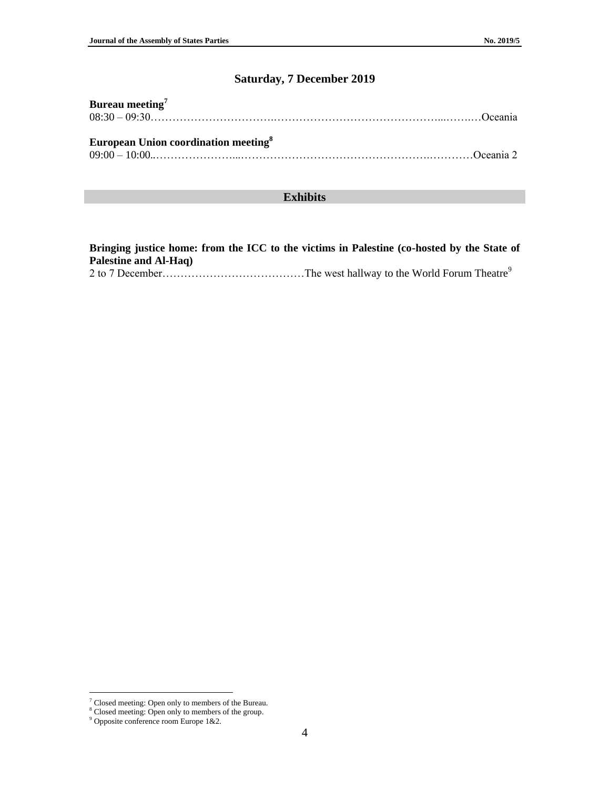# **Saturday, 7 December 2019**

| Bureau meeting <sup>7</sup><br>$08:30-09:30$ Oceania |  |
|------------------------------------------------------|--|
| European Union coordination meeting <sup>8</sup>     |  |
|                                                      |  |

## **Exhibits**

**Bringing justice home: from the ICC to the victims in Palestine (co-hosted by the State of Palestine and Al-Haq)** 2 to 7 December…………………………………The west hallway to the World Forum Theatre<sup>9</sup>

 $\overline{a}$ 

 $7$  Closed meeting: Open only to members of the Bureau.

<sup>8</sup> Closed meeting: Open only to members of the group.

<sup>9</sup> Opposite conference room Europe 1&2.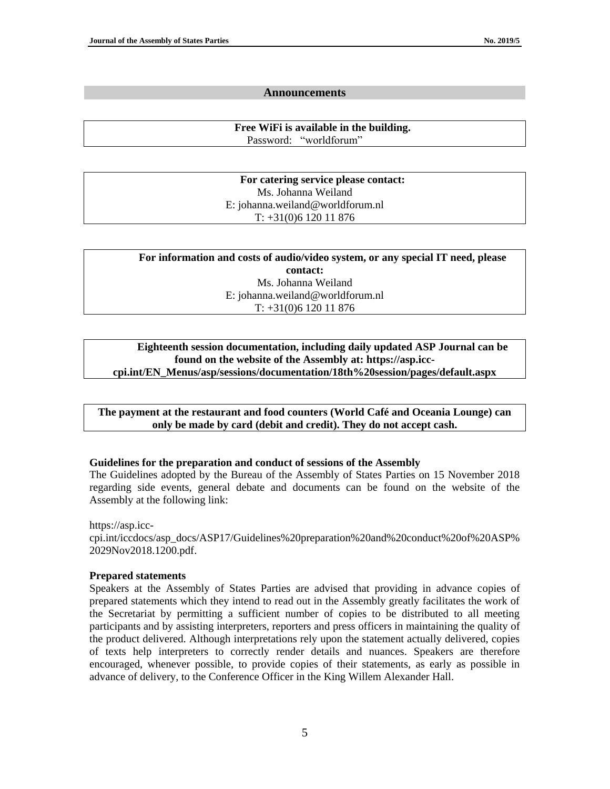#### **Announcements**

**Free WiFi is available in the building.** Password: "worldforum"

**For catering service please contact:** Ms. Johanna Weiland E: johanna.weiland@worldforum.nl T: +31(0)6 120 11 876

| For information and costs of audio/video system, or any special IT need, please |  |
|---------------------------------------------------------------------------------|--|
| contact:                                                                        |  |
| Ms. Johanna Weiland                                                             |  |
| E: johanna.weiland@worldforum.nl                                                |  |
| $T: +31(0)612011876$                                                            |  |

#### **Eighteenth session documentation, including daily updated ASP Journal can be found on the website of the Assembly at: https://asp.icccpi.int/EN\_Menus/asp/sessions/documentation/18th%20session/pages/default.aspx**

**The payment at the restaurant and food counters (World Café and Oceania Lounge) can only be made by card (debit and credit). They do not accept cash.**

#### **Guidelines for the preparation and conduct of sessions of the Assembly**

The Guidelines adopted by the Bureau of the Assembly of States Parties on 15 November 2018 regarding side events, general debate and documents can be found on the website of the Assembly at the following link:

#### https://asp.icc-

cpi.int/iccdocs/asp\_docs/ASP17/Guidelines%20preparation%20and%20conduct%20of%20ASP% 2029Nov2018.1200.pdf.

#### **Prepared statements**

Speakers at the Assembly of States Parties are advised that providing in advance copies of prepared statements which they intend to read out in the Assembly greatly facilitates the work of the Secretariat by permitting a sufficient number of copies to be distributed to all meeting participants and by assisting interpreters, reporters and press officers in maintaining the quality of the product delivered. Although interpretations rely upon the statement actually delivered, copies of texts help interpreters to correctly render details and nuances. Speakers are therefore encouraged, whenever possible, to provide copies of their statements, as early as possible in advance of delivery, to the Conference Officer in the King Willem Alexander Hall.